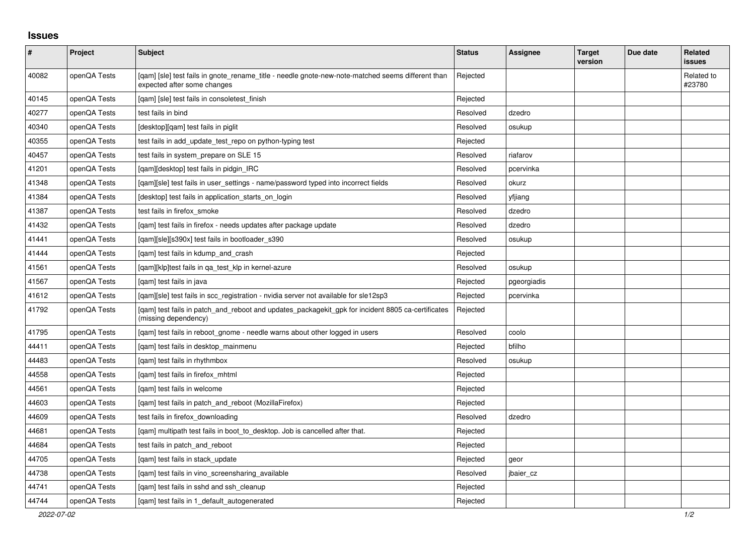## **Issues**

| $\vert$ # | Project      | <b>Subject</b>                                                                                                                   | <b>Status</b> | Assignee    | <b>Target</b><br>version | Due date | <b>Related</b><br><b>issues</b> |
|-----------|--------------|----------------------------------------------------------------------------------------------------------------------------------|---------------|-------------|--------------------------|----------|---------------------------------|
| 40082     | openQA Tests | [gam] [sle] test fails in gnote rename title - needle gnote-new-note-matched seems different than<br>expected after some changes | Rejected      |             |                          |          | Related to<br>#23780            |
| 40145     | openQA Tests | [qam] [sle] test fails in consoletest_finish                                                                                     | Rejected      |             |                          |          |                                 |
| 40277     | openQA Tests | test fails in bind                                                                                                               | Resolved      | dzedro      |                          |          |                                 |
| 40340     | openQA Tests | [desktop][qam] test fails in piglit                                                                                              | Resolved      | osukup      |                          |          |                                 |
| 40355     | openQA Tests | test fails in add_update_test_repo on python-typing test                                                                         | Rejected      |             |                          |          |                                 |
| 40457     | openQA Tests | test fails in system_prepare on SLE 15                                                                                           | Resolved      | riafarov    |                          |          |                                 |
| 41201     | openQA Tests | [qam][desktop] test fails in pidgin_IRC                                                                                          | Resolved      | pcervinka   |                          |          |                                 |
| 41348     | openQA Tests | [gam][sle] test fails in user settings - name/password typed into incorrect fields                                               | Resolved      | okurz       |                          |          |                                 |
| 41384     | openQA Tests | [desktop] test fails in application starts on login                                                                              | Resolved      | yfjiang     |                          |          |                                 |
| 41387     | openQA Tests | test fails in firefox_smoke                                                                                                      | Resolved      | dzedro      |                          |          |                                 |
| 41432     | openQA Tests | [gam] test fails in firefox - needs updates after package update                                                                 | Resolved      | dzedro      |                          |          |                                 |
| 41441     | openQA Tests | [qam][sle][s390x] test fails in bootloader_s390                                                                                  | Resolved      | osukup      |                          |          |                                 |
| 41444     | openQA Tests | [qam] test fails in kdump_and_crash                                                                                              | Rejected      |             |                          |          |                                 |
| 41561     | openQA Tests | [gam][klp]test fails in ga test klp in kernel-azure                                                                              | Resolved      | osukup      |                          |          |                                 |
| 41567     | openQA Tests | [qam] test fails in java                                                                                                         | Rejected      | pgeorgiadis |                          |          |                                 |
| 41612     | openQA Tests | [gam][sle] test fails in scc registration - nvidia server not available for sle12sp3                                             | Rejected      | pcervinka   |                          |          |                                 |
| 41792     | openQA Tests | [gam] test fails in patch_and_reboot and updates_packagekit_gpk for incident 8805 ca-certificates<br>(missing dependency)        | Rejected      |             |                          |          |                                 |
| 41795     | openQA Tests | [qam] test fails in reboot_gnome - needle warns about other logged in users                                                      | Resolved      | coolo       |                          |          |                                 |
| 44411     | openQA Tests | [qam] test fails in desktop_mainmenu                                                                                             | Rejected      | bfilho      |                          |          |                                 |
| 44483     | openQA Tests | [gam] test fails in rhythmbox                                                                                                    | Resolved      | osukup      |                          |          |                                 |
| 44558     | openQA Tests | [gam] test fails in firefox mhtml                                                                                                | Rejected      |             |                          |          |                                 |
| 44561     | openQA Tests | [gam] test fails in welcome                                                                                                      | Rejected      |             |                          |          |                                 |
| 44603     | openQA Tests | [qam] test fails in patch_and_reboot (MozillaFirefox)                                                                            | Rejected      |             |                          |          |                                 |
| 44609     | openQA Tests | test fails in firefox downloading                                                                                                | Resolved      | dzedro      |                          |          |                                 |
| 44681     | openQA Tests | [qam] multipath test fails in boot_to_desktop. Job is cancelled after that.                                                      | Rejected      |             |                          |          |                                 |
| 44684     | openQA Tests | test fails in patch and reboot                                                                                                   | Rejected      |             |                          |          |                                 |
| 44705     | openQA Tests | [qam] test fails in stack_update                                                                                                 | Rejected      | geor        |                          |          |                                 |
| 44738     | openQA Tests | [qam] test fails in vino_screensharing_available                                                                                 | Resolved      | jbaier_cz   |                          |          |                                 |
| 44741     | openQA Tests | [gam] test fails in sshd and ssh cleanup                                                                                         | Rejected      |             |                          |          |                                 |
| 44744     | openQA Tests | [gam] test fails in 1 default autogenerated                                                                                      | Rejected      |             |                          |          |                                 |